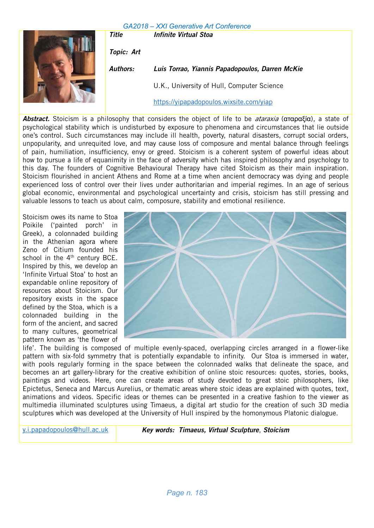Title **Infinite Virtual Stoa** 



Topic: Art Authors: Luis Torrao, Yiannis Papadopoulos, Darren McKie U.K., University of Hull, Computer Science https://yipapadopoulos.wixsite.com/yiap

Abstract. Stoicism is a philosophy that considers the object of life to be *ataraxia* (αταραξία), a state of psychological stability which is undisturbed by exposure to phenomena and circumstances that lie outside one's control. Such circumstances may include ill health, poverty, natural disasters, corrupt social orders, unpopularity, and unrequited love, and may cause loss of composure and mental balance through feelings of pain, humiliation, insufficiency, envy or greed. Stoicism is a coherent system of powerful ideas about how to pursue a life of equanimity in the face of adversity which has inspired philosophy and psychology to this day. The founders of Cognitive Behavioural Therapy have cited Stoicism as their main inspiration. Stoicism flourished in ancient Athens and Rome at a time when ancient democracy was dying and people experienced loss of control over their lives under authoritarian and imperial regimes. In an age of serious global economic, environmental and psychological uncertainty and crisis, stoicism has still pressing and valuable lessons to teach us about calm, composure, stability and emotional resilience.

Stoicism owes its name to Stoa Poikile ('painted porch' in Greek), a colonnaded building in the Athenian agora where Zeno of Citium founded his school in the 4<sup>th</sup> century BCE. Inspired by this, we develop an 'Infinite Virtual Stoa' to host an expandable online repository of resources about Stoicism. Our repository exists in the space defined by the Stoa, which is a colonnaded building in the form of the ancient, and sacred to many cultures, geometrical pattern known as 'the flower of



life'. The building is composed of multiple evenly-spaced, overlapping circles arranged in a flower-like pattern with six-fold symmetry that is potentially expandable to infinity. Our Stoa is immersed in water, with pools regularly forming in the space between the colonnaded walks that delineate the space, and becomes an art gallery-library for the creative exhibition of online stoic resources: quotes, stories, books, paintings and videos. Here, one can create areas of study devoted to great stoic philosophers, like Epictetus, Seneca and Marcus Aurelius, or thematic areas where stoic ideas are explained with quotes, text, animations and videos. Specific ideas or themes can be presented in a creative fashion to the viewer as multimedia illuminated sculptures using Timaeus, a digital art studio for the creation of such 3D media sculptures which was developed at the University of Hull inspired by the homonymous Platonic dialogue.

y.i.papadopoulos@hull.ac.uk Key words: Timaeus, Virtual Sculpture, Stoicism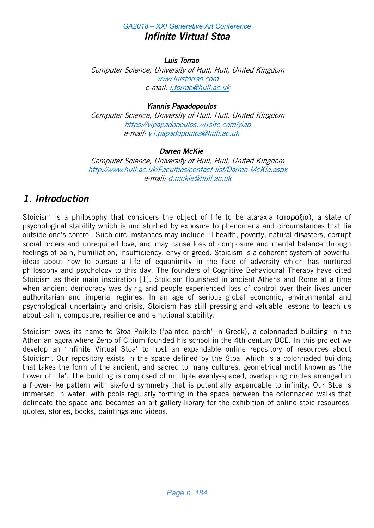# *GA2018 – XXI Generative Art Conference* Infinite Virtual Stoa

### Luis Torrao

Computer Science, University of Hull, Hull, United Kingdom www.luistorrao.com e-mail: l.torrao@hull.ac.uk

# Yiannis Papadopoulos

Computer Science, University of Hull, Hull, United Kingdom https://yipapadopoulos.wixsite.com/yiap e-mail: y.i.papadopoulos@hull.ac.uk

## Darren McKie

Computer Science, University of Hull, Hull, United Kingdom http://www.hull.ac.uk/Faculties/contact-list/Darren-McKie.aspx e-mail: d.mckie@hull.ac.uk

# 1. Introduction

Stoicism is a philosophy that considers the object of life to be ataraxia (αταραξία), a state of psychological stability which is undisturbed by exposure to phenomena and circumstances that lie outside one's control. Such circumstances may include ill health, poverty, natural disasters, corrupt social orders and unrequited love, and may cause loss of composure and mental balance through feelings of pain, humiliation, insufficiency, envy or greed. Stoicism is a coherent system of powerful ideas about how to pursue a life of equanimity in the face of adversity which has nurtured philosophy and psychology to this day. The founders of Cognitive Behavioural Therapy have cited Stoicism as their main inspiration [1]. Stoicism flourished in ancient Athens and Rome at a time when ancient democracy was dying and people experienced loss of control over their lives under authoritarian and imperial regimes. In an age of serious global economic, environmental and psychological uncertainty and crisis, Stoicism has still pressing and valuable lessons to teach us about calm, composure, resilience and emotional stability.

Stoicism owes its name to Stoa Poikile ('painted porch' in Greek), a colonnaded building in the Athenian agora where Zeno of Citium founded his school in the 4th century BCE. In this project we develop an 'Infinite Virtual Stoa' to host an expandable online repository of resources about Stoicism. Our repository exists in the space defined by the Stoa, which is a colonnaded building that takes the form of the ancient, and sacred to many cultures, geometrical motif known as 'the flower of life'. The building is composed of multiple evenly-spaced, overlapping circles arranged in a flower-like pattern with six-fold symmetry that is potentially expandable to infinity. Our Stoa is immersed in water, with pools regularly forming in the space between the colonnaded walks that delineate the space and becomes an art gallery-library for the exhibition of online stoic resources: quotes, stories, books, paintings and videos.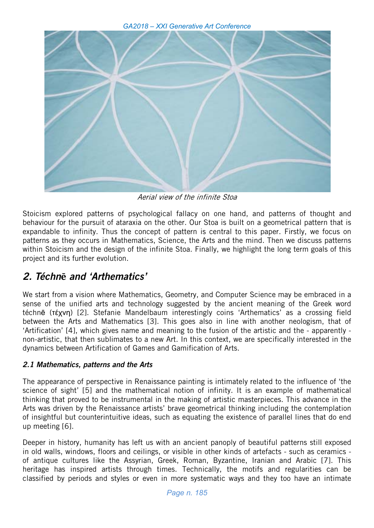

Aerial view of the infinite Stoa

Stoicism explored patterns of psychological fallacy on one hand, and patterns of thought and behaviour for the pursuit of ataraxia on the other. Our Stoa is built on a geometrical pattern that is expandable to infinity. Thus the concept of pattern is central to this paper. Firstly, we focus on patterns as they occurs in Mathematics, Science, the Arts and the mind. Then we discuss patterns within Stoicism and the design of the infinite Stoa. Finally, we highlight the long term goals of this project and its further evolution.

# 2. Téchn**ē** and 'Arthematics'

We start from a vision where Mathematics, Geometry, and Computer Science may be embraced in a sense of the unified arts and technology suggested by the ancient meaning of the Greek word téchnē (τέχνη) [2]. Stefanie Mandelbaum interestingly coins 'Arthematics' as a crossing field between the Arts and Mathematics [3]. This goes also in line with another neologism, that of 'Artification' [4], which gives name and meaning to the fusion of the artistic and the - apparently non-artistic, that then sublimates to a new Art. In this context, we are specifically interested in the dynamics between Artification of Games and Gamification of Arts.

# 2.1 Mathematics, patterns and the Arts

The appearance of perspective in Renaissance painting is intimately related to the influence of 'the science of sight' [5] and the mathematical notion of infinity. It is an example of mathematical thinking that proved to be instrumental in the making of artistic masterpieces. This advance in the Arts was driven by the Renaissance artists' brave geometrical thinking including the contemplation of insightful but counterintuitive ideas, such as equating the existence of parallel lines that do end up meeting [6].

Deeper in history, humanity has left us with an ancient panoply of beautiful patterns still exposed in old walls, windows, floors and ceilings, or visible in other kinds of artefacts - such as ceramics of antique cultures like the Assyrian, Greek, Roman, Byzantine, Iranian and Arabic [7]. This heritage has inspired artists through times. Technically, the motifs and regularities can be classified by periods and styles or even in more systematic ways and they too have an intimate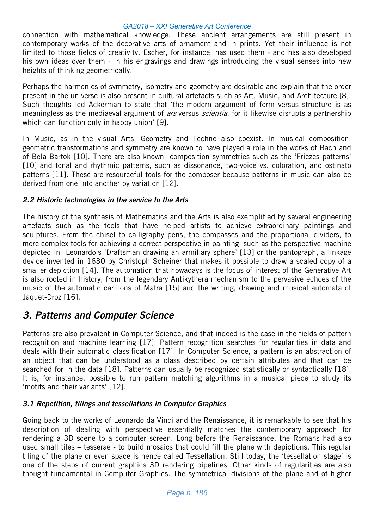connection with mathematical knowledge. These ancient arrangements are still present in contemporary works of the decorative arts of ornament and in prints. Yet their influence is not limited to those fields of creativity. Escher, for instance, has used them - and has also developed his own ideas over them - in his engravings and drawings introducing the visual senses into new heights of thinking geometrically.

Perhaps the harmonies of symmetry, isometry and geometry are desirable and explain that the order present in the universe is also present in cultural artefacts such as Art, Music, and Architecture [8]. Such thoughts led Ackerman to state that 'the modern argument of form versus structure is as meaningless as the mediaeval argument of *ars* versus *scientia*, for it likewise disrupts a partnership which can function only in happy union' [9].

In Music, as in the visual Arts, Geometry and Techne also coexist. In musical composition, geometric transformations and symmetry are known to have played a role in the works of Bach and of Bela Bartok [10]. There are also known composition symmetries such as the 'Friezes patterns' [10] and tonal and rhythmic patterns, such as dissonance, two-voice vs. coloration, and ostinato patterns [11]. These are resourceful tools for the composer because patterns in music can also be derived from one into another by variation [12].

## 2.2 Historic technologies in the service to the Arts

The history of the synthesis of Mathematics and the Arts is also exemplified by several engineering artefacts such as the tools that have helped artists to achieve extraordinary paintings and sculptures. From the chisel to calligraphy pens, the compasses and the proportional dividers, to more complex tools for achieving a correct perspective in painting, such as the perspective machine depicted in Leonardo's 'Draftsman drawing an armillary sphere' [13] or the pantograph, a linkage device invented in 1630 by Christoph Scheiner that makes it possible to draw a scaled copy of a smaller depiction [14]. The automation that nowadays is the focus of interest of the Generative Art is also rooted in history, from the legendary Antikythera mechanism to the pervasive echoes of the music of the automatic carillons of Mafra [15] and the writing, drawing and musical automata of Jaquet-Droz [16].

# 3. Patterns and Computer Science

Patterns are also prevalent in Computer Science, and that indeed is the case in the fields of pattern recognition and machine learning [17]. Pattern recognition searches for regularities in data and deals with their automatic classification [17]. In Computer Science, a pattern is an abstraction of an object that can be understood as a class described by certain attributes and that can be searched for in the data [18]. Patterns can usually be recognized statistically or syntactically [18]. It is, for instance, possible to run pattern matching algorithms in a musical piece to study its 'motifs and their variants' [12].

## 3.1 Repetition, tilings and tessellations in Computer Graphics

Going back to the works of Leonardo da Vinci and the Renaissance, it is remarkable to see that his description of dealing with perspective essentially matches the contemporary approach for rendering a 3D scene to a computer screen. Long before the Renaissance, the Romans had also used small tiles – tesserae - to build mosaics that could fill the plane with depictions. This regular tiling of the plane or even space is hence called Tessellation. Still today, the 'tessellation stage' is one of the steps of current graphics 3D rendering pipelines. Other kinds of regularities are also thought fundamental in Computer Graphics. The symmetrical divisions of the plane and of higher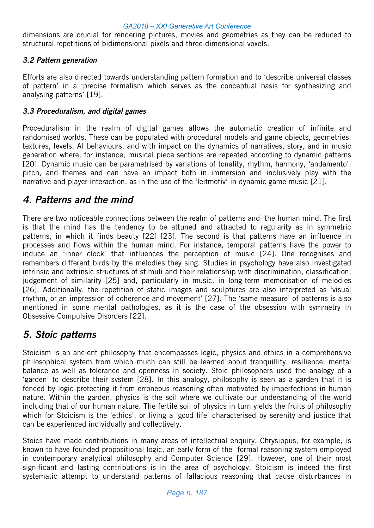dimensions are crucial for rendering pictures, movies and geometries as they can be reduced to structural repetitions of bidimensional pixels and three-dimensional voxels.

## 3.2 Pattern generation

Efforts are also directed towards understanding pattern formation and to 'describe universal classes of pattern' in a 'precise formalism which serves as the conceptual basis for synthesizing and analysing patterns' [19].

### 3.3 Proceduralism, and digital games

Proceduralism in the realm of digital games allows the automatic creation of infinite and randomised worlds. These can be populated with procedural models and game objects, geometries, textures, levels, AI behaviours, and with impact on the dynamics of narratives, story, and in music generation where, for instance, musical piece sections are repeated according to dynamic patterns [20]. Dynamic music can be parametrised by variations of tonality, rhythm, harmony, 'andamento', pitch, and themes and can have an impact both in immersion and inclusively play with the narrative and player interaction, as in the use of the 'leitmotiv' in dynamic game music [21].

# 4. Patterns and the mind

There are two noticeable connections between the realm of patterns and the human mind. The first is that the mind has the tendency to be attuned and attracted to regularity as in symmetric patterns, in which it finds beauty [22] [23]. The second is that patterns have an influence in processes and flows within the human mind. For instance, temporal patterns have the power to induce an 'inner clock' that influences the perception of music [24]. One recognises and remembers different birds by the melodies they sing. Studies in psychology have also investigated intrinsic and extrinsic structures of stimuli and their relationship with discrimination, classification, judgement of similarity [25] and, particularly in music, in long-term memorisation of melodies [26]. Additionally, the repetition of static images and sculptures are also interpreted as 'visual rhythm, or an impression of coherence and movement' [27]. The 'same measure' of patterns is also mentioned in some mental pathologies, as it is the case of the obsession with symmetry in Obsessive Compulsive Disorders [22].

# 5. Stoic patterns

Stoicism is an ancient philosophy that encompasses logic, physics and ethics in a comprehensive philosophical system from which much can still be learned about tranquillity, resilience, mental balance as well as tolerance and openness in society. Stoic philosophers used the analogy of a 'garden' to describe their system [28]. In this analogy, philosophy is seen as a garden that it is fenced by logic protecting it from erroneous reasoning often motivated by imperfections in human nature. Within the garden, physics is the soil where we cultivate our understanding of the world including that of our human nature. The fertile soil of physics in turn yields the fruits of philosophy which for Stoicism is the 'ethics', or living a 'good life' characterised by serenity and justice that can be experienced individually and collectively.

Stoics have made contributions in many areas of intellectual enquiry. Chrysippus, for example, is known to have founded propositional logic, an early form of the formal reasoning system employed in contemporary analytical philosophy and Computer Science [29]. However, one of their most significant and lasting contributions is in the area of psychology. Stoicism is indeed the first systematic attempt to understand patterns of fallacious reasoning that cause disturbances in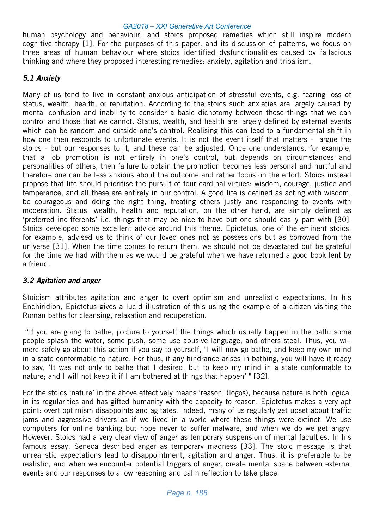human psychology and behaviour; and stoics proposed remedies which still inspire modern cognitive therapy [1]. For the purposes of this paper, and its discussion of patterns, we focus on three areas of human behaviour where stoics identified dysfunctionalities caused by fallacious thinking and where they proposed interesting remedies: anxiety, agitation and tribalism.

## 5.1 Anxiety

Many of us tend to live in constant anxious anticipation of stressful events, e.g. fearing loss of status, wealth, health, or reputation. According to the stoics such anxieties are largely caused by mental confusion and inability to consider a basic dichotomy between those things that we can control and those that we cannot. Status, wealth, and health are largely defined by external events which can be random and outside one's control. Realising this can lead to a fundamental shift in how one then responds to unfortunate events. It is not the event itself that matters - argue the stoics - but our responses to it, and these can be adjusted. Once one understands, for example, that a job promotion is not entirely in one's control, but depends on circumstances and personalities of others, then failure to obtain the promotion becomes less personal and hurtful and therefore one can be less anxious about the outcome and rather focus on the effort. Stoics instead propose that life should prioritise the pursuit of four cardinal virtues: wisdom, courage, justice and temperance, and all these are entirely in our control. A good life is defined as acting with wisdom, be courageous and doing the right thing, treating others justly and responding to events with moderation. Status, wealth, health and reputation, on the other hand, are simply defined as 'preferred indifferents' i.e. things that may be nice to have but one should easily part with [30]. Stoics developed some excellent advice around this theme. Epictetus, one of the eminent stoics, for example, advised us to think of our loved ones not as possessions but as borrowed from the universe [31]. When the time comes to return them, we should not be devastated but be grateful for the time we had with them as we would be grateful when we have returned a good book lent by a friend.

# 3.2 Agitation and anger

Stoicism attributes agitation and anger to overt optimism and unrealistic expectations. In his Enchiridion, Epictetus gives a lucid illustration of this using the example of a citizen visiting the Roman baths for cleansing, relaxation and recuperation.

 "If you are going to bathe, picture to yourself the things which usually happen in the bath: some people splash the water, some push, some use abusive language, and others steal. Thus, you will more safely go about this action if you say to yourself, "I will now go bathe, and keep my own mind in a state conformable to nature. For thus, if any hindrance arises in bathing, you will have it ready to say, 'It was not only to bathe that I desired, but to keep my mind in a state conformable to nature; and I will not keep it if I am bothered at things that happen' " [32].

For the stoics 'nature' in the above effectively means 'reason' (logos), because nature is both logical in its regularities and has gifted humanity with the capacity to reason. Epictetus makes a very apt point: overt optimism disappoints and agitates. Indeed, many of us regularly get upset about traffic jams and aggressive drivers as if we lived in a world where these things were extinct. We use computers for online banking but hope never to suffer malware, and when we do we get angry. However, Stoics had a very clear view of anger as temporary suspension of mental faculties. In his famous essay, Seneca described anger as temporary madness [33]. The stoic message is that unrealistic expectations lead to disappointment, agitation and anger. Thus, it is preferable to be realistic, and when we encounter potential triggers of anger, create mental space between external events and our responses to allow reasoning and calm reflection to take place.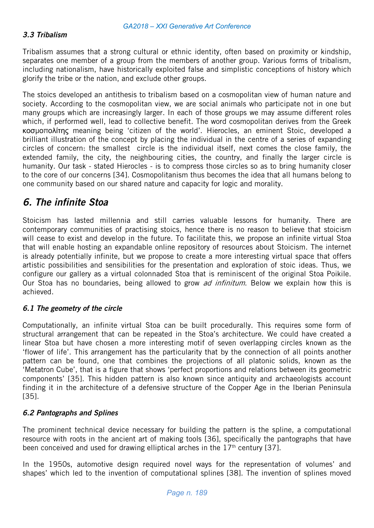### 3.3 Tribalism

Tribalism assumes that a strong cultural or ethnic identity, often based on proximity or kindship, separates one member of a group from the members of another group. Various forms of tribalism, including nationalism, have historically exploited false and simplistic conceptions of history which glorify the tribe or the nation, and exclude other groups.

The stoics developed an antithesis to tribalism based on a cosmopolitan view of human nature and society. According to the cosmopolitan view, we are social animals who participate not in one but many groups which are increasingly larger. In each of those groups we may assume different roles which, if performed well, lead to collective benefit. The word cosmopolitan derives from the Greek κοσμοπολίτης meaning being 'citizen of the world'. Hierocles, an eminent Stoic, developed a brilliant illustration of the concept by placing the individual in the centre of a series of expanding circles of concern: the smallest circle is the individual itself, next comes the close family, the extended family, the city, the neighbouring cities, the country, and finally the larger circle is humanity. Our task - stated Hierocles - is to compress those circles so as to bring humanity closer to the core of our concerns [34]. Cosmopolitanism thus becomes the idea that all humans belong to one community based on our shared nature and capacity for logic and morality.

# 6. The infinite Stoa

Stoicism has lasted millennia and still carries valuable lessons for humanity. There are contemporary communities of practising stoics, hence there is no reason to believe that stoicism will cease to exist and develop in the future. To facilitate this, we propose an infinite virtual Stoa that will enable hosting an expandable online repository of resources about Stoicism. The internet is already potentially infinite, but we propose to create a more interesting virtual space that offers artistic possibilities and sensibilities for the presentation and exploration of stoic ideas. Thus, we configure our gallery as a virtual colonnaded Stoa that is reminiscent of the original Stoa Poikile. Our Stoa has no boundaries, being allowed to grow *ad infinitum*. Below we explain how this is achieved.

## 6.1 The geometry of the circle

Computationally, an infinite virtual Stoa can be built procedurally. This requires some form of structural arrangement that can be repeated in the Stoa's architecture. We could have created a linear Stoa but have chosen a more interesting motif of seven overlapping circles known as the 'flower of life'. This arrangement has the particularity that by the connection of all points another pattern can be found, one that combines the projections of all platonic solids, known as the 'Metatron Cube', that is a figure that shows 'perfect proportions and relations between its geometric components' [35]. This hidden pattern is also known since antiquity and archaeologists account finding it in the architecture of a defensive structure of the Copper Age in the Iberian Peninsula [35].

### 6.2 Pantographs and Splines

The prominent technical device necessary for building the pattern is the spline, a computational resource with roots in the ancient art of making tools [36], specifically the pantographs that have been conceived and used for drawing elliptical arches in the  $17<sup>th</sup>$  century [37].

In the 1950s, automotive design required novel ways for the representation of volumes' and shapes' which led to the invention of computational splines [38]. The invention of splines moved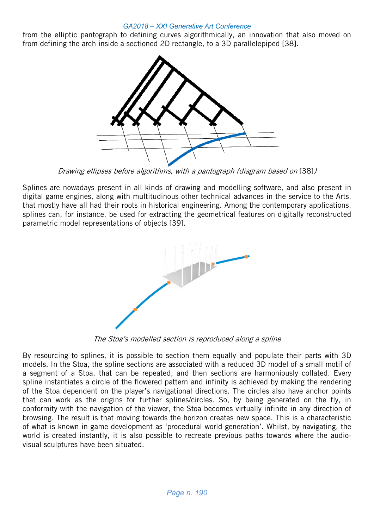from the elliptic pantograph to defining curves algorithmically, an innovation that also moved on from defining the arch inside a sectioned 2D rectangle, to a 3D parallelepiped [38].



Drawing ellipses before algorithms, with a pantograph (diagram based on [38])

Splines are nowadays present in all kinds of drawing and modelling software, and also present in digital game engines, along with multitudinous other technical advances in the service to the Arts, that mostly have all had their roots in historical engineering. Among the contemporary applications, splines can, for instance, be used for extracting the geometrical features on digitally reconstructed parametric model representations of objects [39].



The Stoa's modelled section is reproduced along a spline

By resourcing to splines, it is possible to section them equally and populate their parts with 3D models. In the Stoa, the spline sections are associated with a reduced 3D model of a small motif of a segment of a Stoa, that can be repeated, and then sections are harmoniously collated. Every spline instantiates a circle of the flowered pattern and infinity is achieved by making the rendering of the Stoa dependent on the player's navigational directions. The circles also have anchor points that can work as the origins for further splines/circles. So, by being generated on the fly, in conformity with the navigation of the viewer, the Stoa becomes virtually infinite in any direction of browsing. The result is that moving towards the horizon creates new space. This is a characteristic of what is known in game development as 'procedural world generation'. Whilst, by navigating, the world is created instantly, it is also possible to recreate previous paths towards where the audiovisual sculptures have been situated.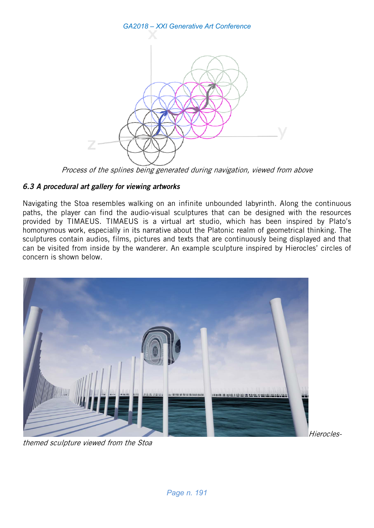

Process of the splines being generated during navigation, viewed from above

## 6.3 A procedural art gallery for viewing artworks

Navigating the Stoa resembles walking on an infinite unbounded labyrinth. Along the continuous paths, the player can find the audio-visual sculptures that can be designed with the resources provided by TIMAEUS. TIMAEUS is a virtual art studio, which has been inspired by Plato's homonymous work, especially in its narrative about the Platonic realm of geometrical thinking. The sculptures contain audios, films, pictures and texts that are continuously being displayed and that can be visited from inside by the wanderer. An example sculpture inspired by Hierocles' circles of concern is shown below.



themed sculpture viewed from the Stoa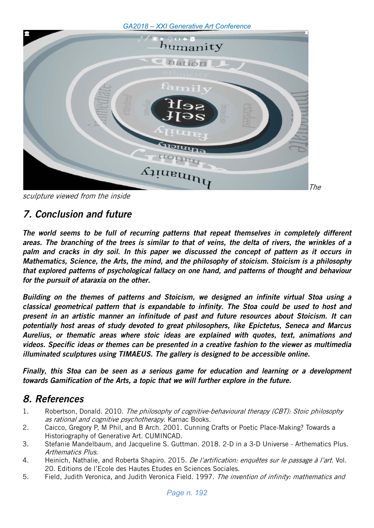

sculpture viewed from the inside

# 7. Conclusion and future

The world seems to be full of recurring patterns that repeat themselves in completely different areas. The branching of the trees is similar to that of veins, the delta of rivers, the wrinkles of a palm and cracks in dry soil. In this paper we discussed the concept of pattern as it occurs in Mathematics, Science, the Arts, the mind, and the philosophy of stoicism. Stoicism is a philosophy that explored patterns of psychological fallacy on one hand, and patterns of thought and behaviour for the pursuit of ataraxia on the other.

Building on the themes of patterns and Stoicism, we designed an infinite virtual Stoa using a classical geometrical pattern that is expandable to infinity. The Stoa could be used to host and present in an artistic manner an infinitude of past and future resources about Stoicism. It can potentially host areas of study devoted to great philosophers, like Epictetus, Seneca and Marcus Aurelius, or thematic areas where stoic ideas are explained with quotes, text, animations and videos. Specific ideas or themes can be presented in a creative fashion to the viewer as multimedia illuminated sculptures using TIMAEUS. The gallery is designed to be accessible online.

Finally, this Stoa can be seen as a serious game for education and learning or a development towards Gamification of the Arts, a topic that we will further explore in the future.

# 8. References

- 1. Robertson, Donald. 2010. The philosophy of cognitive-behavioural therapy (CBT): Stoic philosophy as rational and cognitive psychotherapy. Karnac Books.
- 2. Caicco, Gregory P, M Phil, and B Arch. 2001. Cunning Crafts or Poetic Place-Making? Towards a Historiography of Generative Art. CUMINCAD.
- 3. Stefanie Mandelbaum, and Jacqueline S. Guttman. 2018. 2-D in a 3-D Universe Arthematics Plus. Arthematics Plus.
- 4. Heinich, Nathalie, and Roberta Shapiro. 2015. De l'artification: enquêtes sur le passage à l'art. Vol. 20. Editions de l'Ecole des Hautes Etudes en Sciences Sociales.
- 5. Field, Judith Veronica, and Judith Veronica Field. 1997. The invention of infinity: mathematics and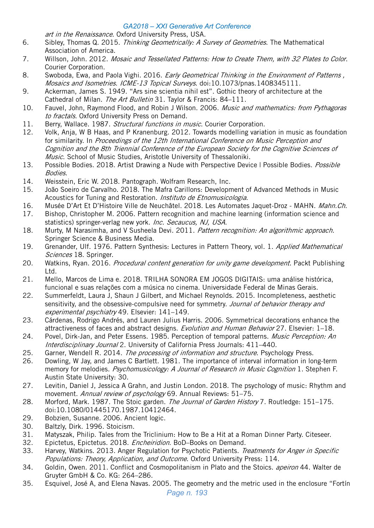art in the Renaissance. Oxford University Press, USA.

- 6. Sibley, Thomas Q. 2015. Thinking Geometrically: A Survey of Geometries. The Mathematical Association of America.
- 7. Willson, John. 2012. Mosaic and Tessellated Patterns: How to Create Them, with 32 Plates to Color. Courier Corporation.
- 8. Swoboda, Ewa, and Paola Vighi. 2016. *Early Geometrical Thinking in the Environment of Patterns,* Mosaics and Isometries. ICME-13 Topical Surveys. doi:10.1073/pnas.1408345111.
- 9. Ackerman, James S. 1949. "Ars sine scientia nihil est". Gothic theory of architecture at the Cathedral of Milan. The Art Bulletin 31. Taylor & Francis: 84-111.
- 10. Fauvel, John, Raymond Flood, and Robin J Wilson, 2006. *Music and mathematics: from Pythagoras* to fractals. Oxford University Press on Demand.
- 11. Berry, Wallace, 1987. Structural functions in music. Courier Corporation.
- 12. Volk, Anja, W B Haas, and P Kranenburg. 2012. Towards modelling variation in music as foundation for similarity. In Proceedings of the 12th International Conference on Music Perception and Cognition and the 8th Triennial Conference of the European Society for the Cognitive Sciences of Music. School of Music Studies, Aristotle University of Thessaloniki.
- 13. Possible Bodies. 2018. Artist Drawing a Nude with Perspective Device | Possible Bodies. Possible Bodies.
- 14. Weisstein, Eric W. 2018. Pantograph. Wolfram Research, Inc.
- 15. João Soeiro de Carvalho. 2018. The Mafra Carillons: Development of Advanced Methods in Music Acoustics for Tuning and Restoration. *Instituto de Etnomusicologia*.
- 16. Musée D'Art Et D'Histoire Ville de Neuchâtel. 2018. Les Automates Jaquet-Droz MAHN. Mahn.Ch.
- 17. Bishop, Christopher M. 2006. Pattern recognition and machine learning (information science and statistics) springer-verlag new york. Inc. Secaucus, NJ, USA.
- 18. Murty, M Narasimha, and V Susheela Devi. 2011. Pattern recognition: An algorithmic approach. Springer Science & Business Media.
- 19. Grenander, Ulf. 1976. Pattern Synthesis: Lectures in Pattern Theory, vol. 1. Applied Mathematical Sciences 18. Springer.
- 20. Watkins, Ryan. 2016. Procedural content generation for unity game development. Packt Publishing Ltd.
- 21. Mello, Marcos de Lima e. 2018. TRILHA SONORA EM JOGOS DIGITAIS: uma análise histórica, funcional e suas relações com a música no cinema. Universidade Federal de Minas Gerais.
- 22. Summerfeldt, Laura J, Shaun J Gilbert, and Michael Reynolds. 2015. Incompleteness, aesthetic sensitivity, and the obsessive-compulsive need for symmetry. Journal of behavior therapy and experimental psychiatry 49. Elsevier: 141–149.
- 23. Cárdenas, Rodrigo Andrés, and Lauren Julius Harris. 2006. Symmetrical decorations enhance the attractiveness of faces and abstract designs. Evolution and Human Behavior 27. Elsevier: 1-18.
- 24. Povel, Dirk-Jan, and Peter Essens. 1985. Perception of temporal patterns. Music Perception: An Interdisciplinary Journal 2. University of California Press Journals: 411–440.
- 25. Garner, Wendell R. 2014. The processing of information and structure. Psychology Press.
- 26. Dowling, W Jay, and James C Bartlett. 1981. The importance of interval information in long-term memory for melodies. *Psychomusicology: A Journal of Research in Music Cognition* 1, Stephen F. Austin State University: 30.
- 27. Levitin, Daniel J, Jessica A Grahn, and Justin London. 2018. The psychology of music: Rhythm and movement. Annual review of psychology 69. Annual Reviews: 51-75.
- 28. Morford, Mark. 1987. The Stoic garden. The Journal of Garden History 7. Routledge: 151–175. doi:10.1080/01445170.1987.10412464.
- 29. Bobzien, Susanne. 2006. Ancient logic.
- 30. Baltzly, Dirk. 1996. Stoicism.
- 31. Matyszak, Philip. Tales from the Triclinium: How to Be a Hit at a Roman Dinner Party. Citeseer.
- 32. Epictetus, Epictetus. 2018. *Encheiridion*. BoD–Books on Demand.
- 33. Harvey, Watkins. 2013. Anger Regulation for Psychotic Patients. Treatments for Anger in Specific Populations: Theory, Application, and Outcome. Oxford University Press: 114.
- 34. Goldin, Owen. 2011. Conflict and Cosmopolitanism in Plato and the Stoics. *apeiron* 44. Walter de Gruyter GmbH & Co. KG: 264–286.
- 35. Esquivel, José A, and Elena Navas. 2005. The geometry and the metric used in the enclosure "Fortín